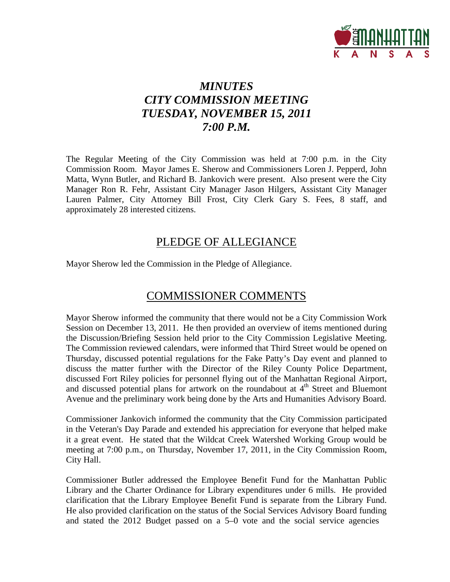

# *MINUTES CITY COMMISSION MEETING TUESDAY, NOVEMBER 15, 2011 7:00 P.M.*

The Regular Meeting of the City Commission was held at 7:00 p.m. in the City Commission Room. Mayor James E. Sherow and Commissioners Loren J. Pepperd, John Matta, Wynn Butler, and Richard B. Jankovich were present. Also present were the City Manager Ron R. Fehr, Assistant City Manager Jason Hilgers, Assistant City Manager Lauren Palmer, City Attorney Bill Frost, City Clerk Gary S. Fees, 8 staff, and approximately 28 interested citizens.

## PLEDGE OF ALLEGIANCE

Mayor Sherow led the Commission in the Pledge of Allegiance.

## COMMISSIONER COMMENTS

Mayor Sherow informed the community that there would not be a City Commission Work Session on December 13, 2011. He then provided an overview of items mentioned during the Discussion/Briefing Session held prior to the City Commission Legislative Meeting. The Commission reviewed calendars, were informed that Third Street would be opened on Thursday, discussed potential regulations for the Fake Patty's Day event and planned to discuss the matter further with the Director of the Riley County Police Department, discussed Fort Riley policies for personnel flying out of the Manhattan Regional Airport, and discussed potential plans for artwork on the roundabout at  $4<sup>th</sup>$  Street and Bluemont Avenue and the preliminary work being done by the Arts and Humanities Advisory Board.

Commissioner Jankovich informed the community that the City Commission participated in the Veteran's Day Parade and extended his appreciation for everyone that helped make it a great event. He stated that the Wildcat Creek Watershed Working Group would be meeting at 7:00 p.m., on Thursday, November 17, 2011, in the City Commission Room, City Hall.

Commissioner Butler addressed the Employee Benefit Fund for the Manhattan Public Library and the Charter Ordinance for Library expenditures under 6 mills. He provided clarification that the Library Employee Benefit Fund is separate from the Library Fund. He also provided clarification on the status of the Social Services Advisory Board funding and stated the 2012 Budget passed on a 5–0 vote and the social service agencies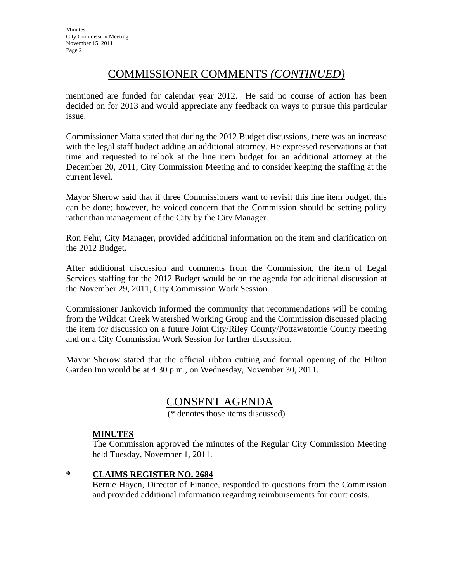# COMMISSIONER COMMENTS *(CONTINUED)*

mentioned are funded for calendar year 2012. He said no course of action has been decided on for 2013 and would appreciate any feedback on ways to pursue this particular issue.

Commissioner Matta stated that during the 2012 Budget discussions, there was an increase with the legal staff budget adding an additional attorney. He expressed reservations at that time and requested to relook at the line item budget for an additional attorney at the December 20, 2011, City Commission Meeting and to consider keeping the staffing at the current level.

Mayor Sherow said that if three Commissioners want to revisit this line item budget, this can be done; however, he voiced concern that the Commission should be setting policy rather than management of the City by the City Manager.

Ron Fehr, City Manager, provided additional information on the item and clarification on the 2012 Budget.

After additional discussion and comments from the Commission, the item of Legal Services staffing for the 2012 Budget would be on the agenda for additional discussion at the November 29, 2011, City Commission Work Session.

Commissioner Jankovich informed the community that recommendations will be coming from the Wildcat Creek Watershed Working Group and the Commission discussed placing the item for discussion on a future Joint City/Riley County/Pottawatomie County meeting and on a City Commission Work Session for further discussion.

Mayor Sherow stated that the official ribbon cutting and formal opening of the Hilton Garden Inn would be at 4:30 p.m., on Wednesday, November 30, 2011.

## CONSENT AGENDA

(\* denotes those items discussed)

### **MINUTES**

The Commission approved the minutes of the Regular City Commission Meeting held Tuesday, November 1, 2011.

### **\* CLAIMS REGISTER NO. 2684**

Bernie Hayen, Director of Finance, responded to questions from the Commission and provided additional information regarding reimbursements for court costs.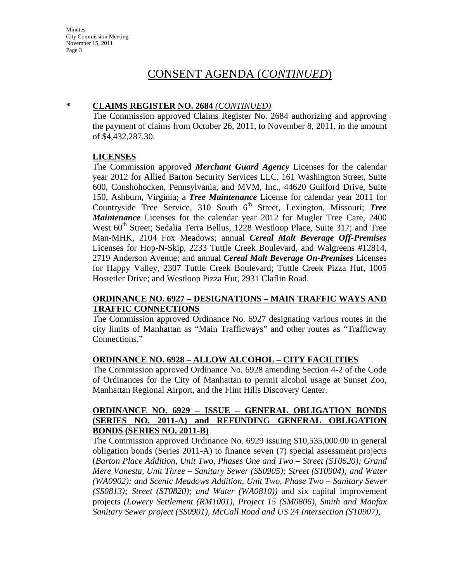Minutes City Commission Meeting November 15, 2011 Page 3

## CONSENT AGENDA (*CONTINUED*)

## **\* CLAIMS REGISTER NO. 2684** *(CONTINUED)*

The Commission approved Claims Register No. 2684 authorizing and approving the payment of claims from October 26, 2011, to November 8, 2011, in the amount of \$4,432,287.30.

#### **LICENSES**

The Commission approved *Merchant Guard Agency* Licenses for the calendar year 2012 for Allied Barton Security Services LLC, 161 Washington Street, Suite 600, Conshohocken, Pennsylvania, and MVM, Inc., 44620 Guilford Drive, Suite 150, Ashburn, Virginia; a *Tree Maintenance* License for calendar year 2011 for Countryside Tree Service, 310 South 6<sup>th</sup> Street, Lexington, Missouri; *Tree Maintenance* Licenses for the calendar year 2012 for Mugler Tree Care, 2400 West 60<sup>th</sup> Street; Sedalia Terra Bellus, 1228 Westloop Place, Suite 317; and Tree Man-MHK, 2104 Fox Meadows; annual *Cereal Malt Beverage Off-Premises* Licenses for Hop-N-Skip, 2233 Tuttle Creek Boulevard, and Walgreens #12814, 2719 Anderson Avenue; and annual *Cereal Malt Beverage On-Premises* Licenses for Happy Valley, 2307 Tuttle Creek Boulevard; Tuttle Creek Pizza Hut, 1005 Hostetler Drive; and Westloop Pizza Hut, 2931 Claflin Road.

### **ORDINANCE NO. 6927 – DESIGNATIONS – MAIN TRAFFIC WAYS AND TRAFFIC CONNECTIONS**

The Commission approved Ordinance No. 6927 designating various routes in the city limits of Manhattan as "Main Trafficways" and other routes as "Trafficway Connections."

### **ORDINANCE NO. 6928 – ALLOW ALCOHOL – CITY FACILITIES**

The Commission approved Ordinance No. 6928 amending Section 4-2 of the Code of Ordinances for the City of Manhattan to permit alcohol usage at Sunset Zoo, Manhattan Regional Airport, and the Flint Hills Discovery Center.

### **ORDINANCE NO. 6929 – ISSUE – GENERAL OBLIGATION BONDS (SERIES NO. 2011-A) and REFUNDING GENERAL OBLIGATION BONDS (SERIES NO. 2011-B)**

The Commission approved Ordinance No. 6929 issuing \$10,535,000.00 in general obligation bonds (Series 2011-A) to finance seven (7) special assessment projects (*Barton Place Addition, Unit Two, Phases One and Two – Street (ST0620); Grand Mere Vanesta, Unit Three – Sanitary Sewer (SS0905); Street (ST0904); and Water (WA0902); and Scenic Meadows Addition, Unit Two, Phase Two – Sanitary Sewer (SS0813); Street (ST0820); and Water (WA0810))* and six capital improvement projects *(Lowery Settlement (RM1001), Project 15 (SM0806), Smith and Manfax Sanitary Sewer project (SS0901), McCall Road and US 24 Intersection (ST0907),*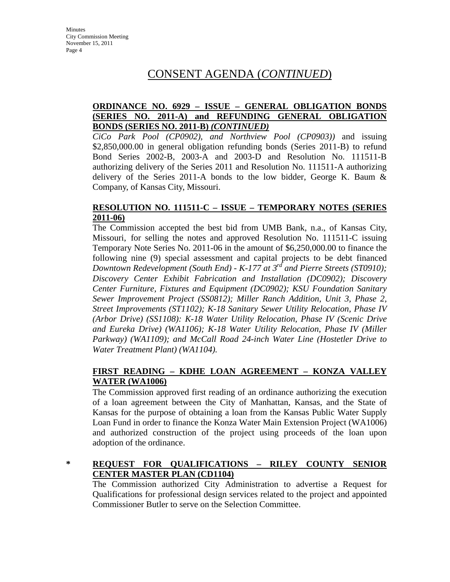# CONSENT AGENDA (*CONTINUED*)

## **ORDINANCE NO. 6929 – ISSUE – GENERAL OBLIGATION BONDS (SERIES NO. 2011-A) and REFUNDING GENERAL OBLIGATION BONDS (SERIES NO. 2011-B)** *(CONTINUED)*

*CiCo Park Pool (CP0902), and Northview Pool (CP0903))* and issuing \$2,850,000.00 in general obligation refunding bonds (Series 2011-B) to refund Bond Series 2002-B, 2003-A and 2003-D and Resolution No. 111511-B authorizing delivery of the Series 2011 and Resolution No. 111511-A authorizing delivery of the Series 2011-A bonds to the low bidder, George K. Baum & Company, of Kansas City, Missouri.

## **RESOLUTION NO. 111511-C – ISSUE – TEMPORARY NOTES (SERIES 2011-06)**

The Commission accepted the best bid from UMB Bank, n.a., of Kansas City, Missouri, for selling the notes and approved Resolution No. 111511-C issuing Temporary Note Series No. 2011-06 in the amount of \$6,250,000.00 to finance the following nine (9) special assessment and capital projects to be debt financed *Downtown Redevelopment (South End) - K-177 at 3rd and Pierre Streets (ST0910); Discovery Center Exhibit Fabrication and Installation (DC0902); Discovery Center Furniture, Fixtures and Equipment (DC0902); KSU Foundation Sanitary Sewer Improvement Project (SS0812); Miller Ranch Addition, Unit 3, Phase 2, Street Improvements (ST1102); K-18 Sanitary Sewer Utility Relocation, Phase IV (Arbor Drive) (SS1108): K-18 Water Utility Relocation, Phase IV (Scenic Drive and Eureka Drive) (WA1106); K-18 Water Utility Relocation, Phase IV (Miller Parkway) (WA1109); and McCall Road 24-inch Water Line (Hostetler Drive to Water Treatment Plant) (WA1104).*

## **FIRST READING – KDHE LOAN AGREEMENT – KONZA VALLEY WATER (WA1006)**

The Commission approved first reading of an ordinance authorizing the execution of a loan agreement between the City of Manhattan, Kansas, and the State of Kansas for the purpose of obtaining a loan from the Kansas Public Water Supply Loan Fund in order to finance the Konza Water Main Extension Project (WA1006) and authorized construction of the project using proceeds of the loan upon adoption of the ordinance.

## **\* REQUEST FOR QUALIFICATIONS – RILEY COUNTY SENIOR CENTER MASTER PLAN (CD1104)**

The Commission authorized City Administration to advertise a Request for Qualifications for professional design services related to the project and appointed Commissioner Butler to serve on the Selection Committee.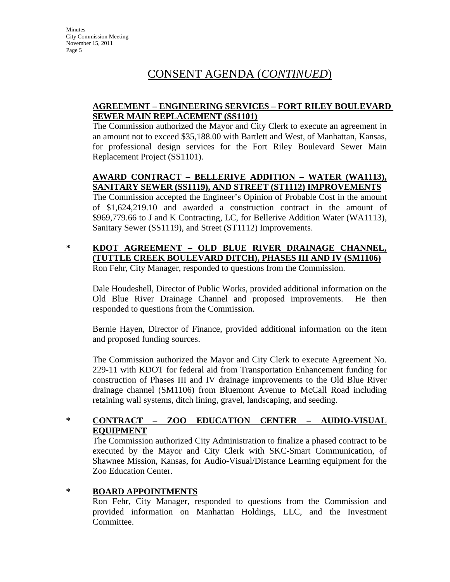**Minutes** City Commission Meeting November 15, 2011 Page 5

# CONSENT AGENDA (*CONTINUED*)

### **AGREEMENT – ENGINEERING SERVICES – FORT RILEY BOULEVARD SEWER MAIN REPLACEMENT (SS1101)**

The Commission authorized the Mayor and City Clerk to execute an agreement in an amount not to exceed \$35,188.00 with Bartlett and West, of Manhattan, Kansas, for professional design services for the Fort Riley Boulevard Sewer Main Replacement Project (SS1101).

## **AWARD CONTRACT – BELLERIVE ADDITION – WATER (WA1113), SANITARY SEWER (SS1119), AND STREET (ST1112) IMPROVEMENTS**

The Commission accepted the Engineer's Opinion of Probable Cost in the amount of \$1,624,219.10 and awarded a construction contract in the amount of \$969,779.66 to J and K Contracting, LC, for Bellerive Addition Water (WA1113), Sanitary Sewer (SS1119), and Street (ST1112) Improvements.

### **\* KDOT AGREEMENT – OLD BLUE RIVER DRAINAGE CHANNEL, (TUTTLE CREEK BOULEVARD DITCH), PHASES III AND IV (SM1106)** Ron Fehr, City Manager, responded to questions from the Commission.

Dale Houdeshell, Director of Public Works, provided additional information on the Old Blue River Drainage Channel and proposed improvements. He then responded to questions from the Commission.

Bernie Hayen, Director of Finance, provided additional information on the item and proposed funding sources.

The Commission authorized the Mayor and City Clerk to execute Agreement No. 229-11 with KDOT for federal aid from Transportation Enhancement funding for construction of Phases III and IV drainage improvements to the Old Blue River drainage channel (SM1106) from Bluemont Avenue to McCall Road including retaining wall systems, ditch lining, gravel, landscaping, and seeding.

## **\* CONTRACT – ZOO EDUCATION CENTER – AUDIO-VISUAL EQUIPMENT**

The Commission authorized City Administration to finalize a phased contract to be executed by the Mayor and City Clerk with SKC-Smart Communication, of Shawnee Mission, Kansas, for Audio-Visual/Distance Learning equipment for the Zoo Education Center.

### **\* BOARD APPOINTMENTS**

Ron Fehr, City Manager, responded to questions from the Commission and provided information on Manhattan Holdings, LLC, and the Investment Committee.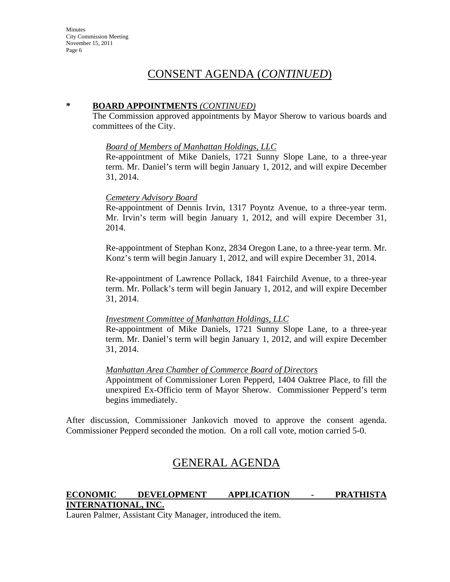**Minutes** City Commission Meeting November 15, 2011 Page 6

## CONSENT AGENDA (*CONTINUED*)

#### **\* BOARD APPOINTMENTS** *(CONTINUED)*

The Commission approved appointments by Mayor Sherow to various boards and committees of the City.

#### *Board of Members of Manhattan Holdings, LLC*

Re-appointment of Mike Daniels, 1721 Sunny Slope Lane, to a three-year term. Mr. Daniel's term will begin January 1, 2012, and will expire December 31, 2014.

#### *Cemetery Advisory Board*

Re-appointment of Dennis Irvin, 1317 Poyntz Avenue, to a three-year term. Mr. Irvin's term will begin January 1, 2012, and will expire December 31, 2014.

Re-appointment of Stephan Konz, 2834 Oregon Lane, to a three-year term. Mr. Konz's term will begin January 1, 2012, and will expire December 31, 2014.

Re-appointment of Lawrence Pollack, 1841 Fairchild Avenue, to a three-year term. Mr. Pollack's term will begin January 1, 2012, and will expire December 31, 2014.

#### *Investment Committee of Manhattan Holdings, LLC*

Re-appointment of Mike Daniels, 1721 Sunny Slope Lane, to a three-year term. Mr. Daniel's term will begin January 1, 2012, and will expire December 31, 2014.

#### *Manhattan Area Chamber of Commerce Board of Directors*

Appointment of Commissioner Loren Pepperd, 1404 Oaktree Place, to fill the unexpired Ex-Officio term of Mayor Sherow. Commissioner Pepperd's term begins immediately.

After discussion, Commissioner Jankovich moved to approve the consent agenda. Commissioner Pepperd seconded the motion. On a roll call vote, motion carried 5-0.

## GENERAL AGENDA

## **ECONOMIC DEVELOPMENT APPLICATION - PRATHISTA INTERNATIONAL, INC.**

Lauren Palmer, Assistant City Manager, introduced the item.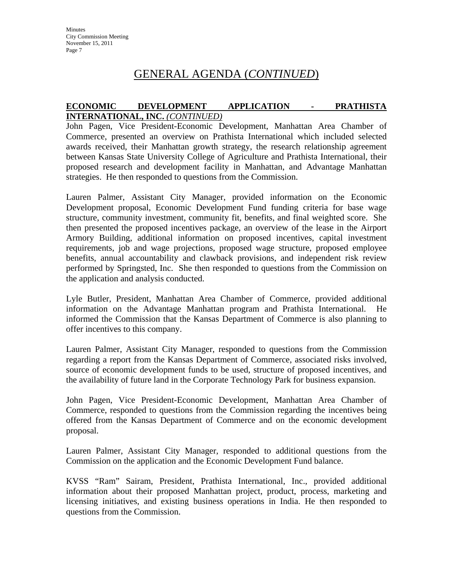## GENERAL AGENDA (*CONTINUED*)

### **ECONOMIC DEVELOPMENT APPLICATION - PRATHISTA INTERNATIONAL, INC.** *(CONTINUED)*

John Pagen, Vice President-Economic Development, Manhattan Area Chamber of Commerce, presented an overview on Prathista International which included selected awards received, their Manhattan growth strategy, the research relationship agreement between Kansas State University College of Agriculture and Prathista International, their proposed research and development facility in Manhattan, and Advantage Manhattan strategies. He then responded to questions from the Commission.

Lauren Palmer, Assistant City Manager, provided information on the Economic Development proposal, Economic Development Fund funding criteria for base wage structure, community investment, community fit, benefits, and final weighted score. She then presented the proposed incentives package, an overview of the lease in the Airport Armory Building, additional information on proposed incentives, capital investment requirements, job and wage projections, proposed wage structure, proposed employee benefits, annual accountability and clawback provisions, and independent risk review performed by Springsted, Inc. She then responded to questions from the Commission on the application and analysis conducted.

Lyle Butler, President, Manhattan Area Chamber of Commerce, provided additional information on the Advantage Manhattan program and Prathista International. He informed the Commission that the Kansas Department of Commerce is also planning to offer incentives to this company.

Lauren Palmer, Assistant City Manager, responded to questions from the Commission regarding a report from the Kansas Department of Commerce, associated risks involved, source of economic development funds to be used, structure of proposed incentives, and the availability of future land in the Corporate Technology Park for business expansion.

John Pagen, Vice President-Economic Development, Manhattan Area Chamber of Commerce, responded to questions from the Commission regarding the incentives being offered from the Kansas Department of Commerce and on the economic development proposal.

Lauren Palmer, Assistant City Manager, responded to additional questions from the Commission on the application and the Economic Development Fund balance.

KVSS "Ram" Sairam, President, Prathista International, Inc., provided additional information about their proposed Manhattan project, product, process, marketing and licensing initiatives, and existing business operations in India. He then responded to questions from the Commission.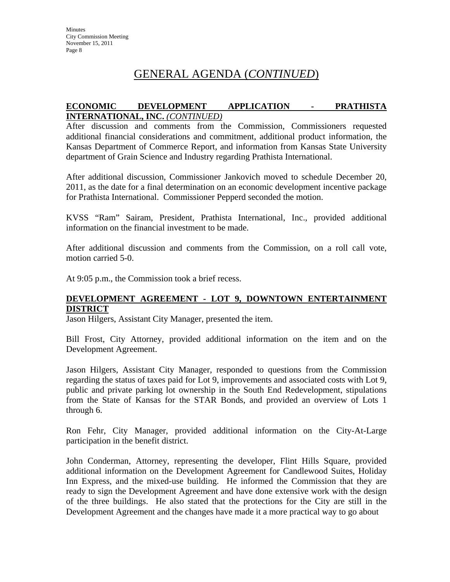# GENERAL AGENDA (*CONTINUED*)

#### **ECONOMIC DEVELOPMENT APPLICATION - PRATHISTA INTERNATIONAL, INC.** *(CONTINUED)*

After discussion and comments from the Commission, Commissioners requested additional financial considerations and commitment, additional product information, the Kansas Department of Commerce Report, and information from Kansas State University department of Grain Science and Industry regarding Prathista International.

After additional discussion, Commissioner Jankovich moved to schedule December 20, 2011, as the date for a final determination on an economic development incentive package for Prathista International. Commissioner Pepperd seconded the motion.

KVSS "Ram" Sairam, President, Prathista International, Inc., provided additional information on the financial investment to be made.

After additional discussion and comments from the Commission, on a roll call vote, motion carried 5-0.

At 9:05 p.m., the Commission took a brief recess.

### **DEVELOPMENT AGREEMENT - LOT 9, DOWNTOWN ENTERTAINMENT DISTRICT**

Jason Hilgers, Assistant City Manager, presented the item.

Bill Frost, City Attorney, provided additional information on the item and on the Development Agreement.

Jason Hilgers, Assistant City Manager, responded to questions from the Commission regarding the status of taxes paid for Lot 9, improvements and associated costs with Lot 9, public and private parking lot ownership in the South End Redevelopment, stipulations from the State of Kansas for the STAR Bonds, and provided an overview of Lots 1 through 6.

Ron Fehr, City Manager, provided additional information on the City-At-Large participation in the benefit district.

John Conderman, Attorney, representing the developer, Flint Hills Square, provided additional information on the Development Agreement for Candlewood Suites, Holiday Inn Express, and the mixed-use building. He informed the Commission that they are ready to sign the Development Agreement and have done extensive work with the design of the three buildings. He also stated that the protections for the City are still in the Development Agreement and the changes have made it a more practical way to go about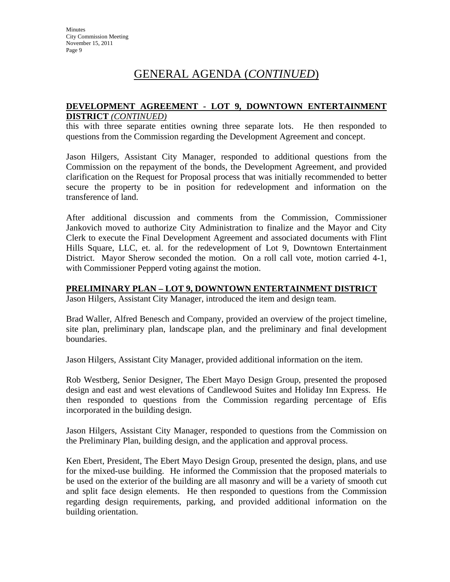# GENERAL AGENDA (*CONTINUED*)

#### **DEVELOPMENT AGREEMENT - LOT 9, DOWNTOWN ENTERTAINMENT DISTRICT** *(CONTINUED)*

this with three separate entities owning three separate lots. He then responded to questions from the Commission regarding the Development Agreement and concept.

Jason Hilgers, Assistant City Manager, responded to additional questions from the Commission on the repayment of the bonds, the Development Agreement, and provided clarification on the Request for Proposal process that was initially recommended to better secure the property to be in position for redevelopment and information on the transference of land.

After additional discussion and comments from the Commission, Commissioner Jankovich moved to authorize City Administration to finalize and the Mayor and City Clerk to execute the Final Development Agreement and associated documents with Flint Hills Square, LLC, et. al. for the redevelopment of Lot 9, Downtown Entertainment District. Mayor Sherow seconded the motion. On a roll call vote, motion carried 4-1, with Commissioner Pepperd voting against the motion.

#### **PRELIMINARY PLAN – LOT 9, DOWNTOWN ENTERTAINMENT DISTRICT**

Jason Hilgers, Assistant City Manager, introduced the item and design team.

Brad Waller, Alfred Benesch and Company, provided an overview of the project timeline, site plan, preliminary plan, landscape plan, and the preliminary and final development boundaries.

Jason Hilgers, Assistant City Manager, provided additional information on the item.

Rob Westberg, Senior Designer, The Ebert Mayo Design Group, presented the proposed design and east and west elevations of Candlewood Suites and Holiday Inn Express. He then responded to questions from the Commission regarding percentage of Efis incorporated in the building design.

Jason Hilgers, Assistant City Manager, responded to questions from the Commission on the Preliminary Plan, building design, and the application and approval process.

Ken Ebert, President, The Ebert Mayo Design Group, presented the design, plans, and use for the mixed-use building. He informed the Commission that the proposed materials to be used on the exterior of the building are all masonry and will be a variety of smooth cut and split face design elements. He then responded to questions from the Commission regarding design requirements, parking, and provided additional information on the building orientation.